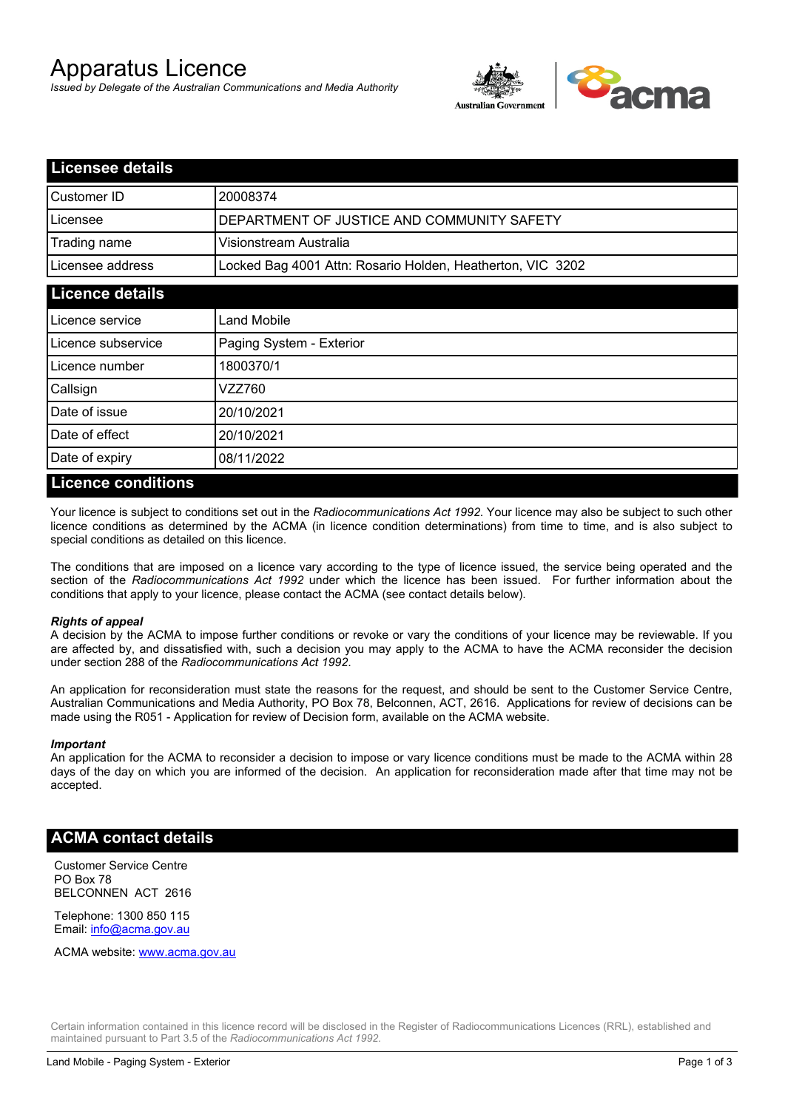# Apparatus Licence

*Issued by Delegate of the Australian Communications and Media Authority*



| <b>Licensee details</b>                                    |  |
|------------------------------------------------------------|--|
| 20008374                                                   |  |
| DEPARTMENT OF JUSTICE AND COMMUNITY SAFETY                 |  |
| Visionstream Australia                                     |  |
| Locked Bag 4001 Attn: Rosario Holden, Heatherton, VIC 3202 |  |
| <b>Licence details</b>                                     |  |
| Land Mobile                                                |  |
| Paging System - Exterior                                   |  |
| 1800370/1                                                  |  |
| VZZ760                                                     |  |
| 20/10/2021                                                 |  |
| 20/10/2021                                                 |  |
| 08/11/2022                                                 |  |
|                                                            |  |

#### **Licence conditions**

Your licence is subject to conditions set out in the *Radiocommunications Act 1992*. Your licence may also be subject to such other licence conditions as determined by the ACMA (in licence condition determinations) from time to time, and is also subject to special conditions as detailed on this licence.

The conditions that are imposed on a licence vary according to the type of licence issued, the service being operated and the section of the *Radiocommunications Act 1992* under which the licence has been issued. For further information about the conditions that apply to your licence, please contact the ACMA (see contact details below).

#### *Rights of appeal*

A decision by the ACMA to impose further conditions or revoke or vary the conditions of your licence may be reviewable. If you are affected by, and dissatisfied with, such a decision you may apply to the ACMA to have the ACMA reconsider the decision under section 288 of the *Radiocommunications Act 1992*.

An application for reconsideration must state the reasons for the request, and should be sent to the Customer Service Centre, Australian Communications and Media Authority, PO Box 78, Belconnen, ACT, 2616. Applications for review of decisions can be made using the R051 - Application for review of Decision form, available on the ACMA website.

#### *Important*

An application for the ACMA to reconsider a decision to impose or vary licence conditions must be made to the ACMA within 28 days of the day on which you are informed of the decision. An application for reconsideration made after that time may not be accepted.

#### **ACMA contact details**

Customer Service Centre PO Box 78 BELCONNEN ACT 2616

Telephone: 1300 850 115 Email: info@acma.gov.au

ACMA website: www.acma.gov.au

Certain information contained in this licence record will be disclosed in the Register of Radiocommunications Licences (RRL), established and maintained pursuant to Part 3.5 of the *Radiocommunications Act 1992.*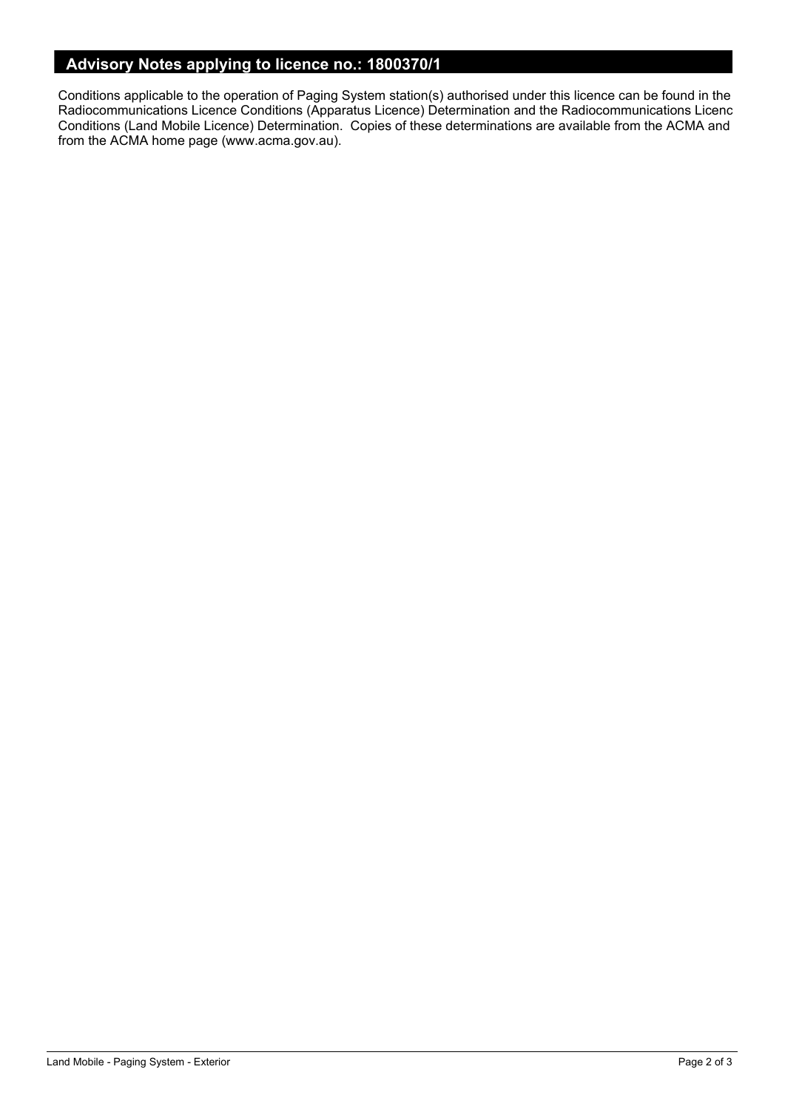## **Advisory Notes applying to licence no.: 1800370/1**

Conditions applicable to the operation of Paging System station(s) authorised under this licence can be found in the Radiocommunications Licence Conditions (Apparatus Licence) Determination and the Radiocommunications Licence Conditions (Land Mobile Licence) Determination. Copies of these determinations are available from the ACMA and from the ACMA home page (www.acma.gov.au).